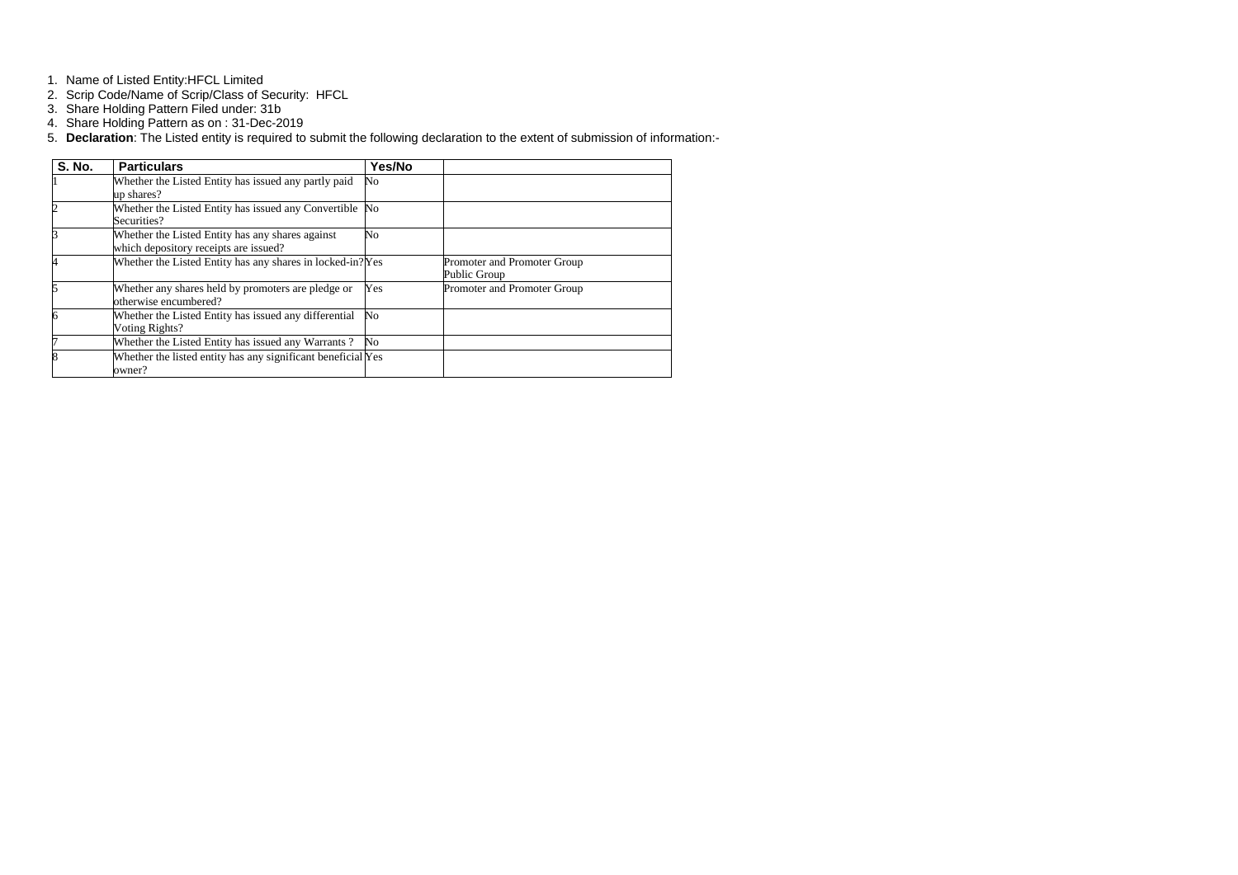- 1. Name of Listed Entity:HFCL Limited
- 2. Scrip Code/Name of Scrip/Class of Security: HFCL
- 3. Share Holding Pattern Filed under: 31b
- 4. Share Holding Pattern as on : 31-Dec-2019
- 5. **Declaration**: The Listed entity is required to submit the following declaration to the extent of submission of information:-

| <b>S. No.</b> | <b>Particulars</b>                                                                        | Yes/No           |                                             |
|---------------|-------------------------------------------------------------------------------------------|------------------|---------------------------------------------|
|               | Whether the Listed Entity has issued any partly paid<br>up shares?                        | N <sub>o</sub>   |                                             |
|               | Whether the Listed Entity has issued any Convertible No<br>Securities?                    |                  |                                             |
|               | Whether the Listed Entity has any shares against<br>which depository receipts are issued? | No               |                                             |
|               | Whether the Listed Entity has any shares in locked-in? Yes                                |                  | Promoter and Promoter Group<br>Public Group |
|               | Whether any shares held by promoters are pledge or<br>otherwise encumbered?               | Yes              | Promoter and Promoter Group                 |
|               | Whether the Listed Entity has issued any differential<br>Voting Rights?                   | $\mathbb{N}_{0}$ |                                             |
|               | Whether the Listed Entity has issued any Warrants?                                        | No               |                                             |
|               | Whether the listed entity has any significant beneficial Yes<br>owner?                    |                  |                                             |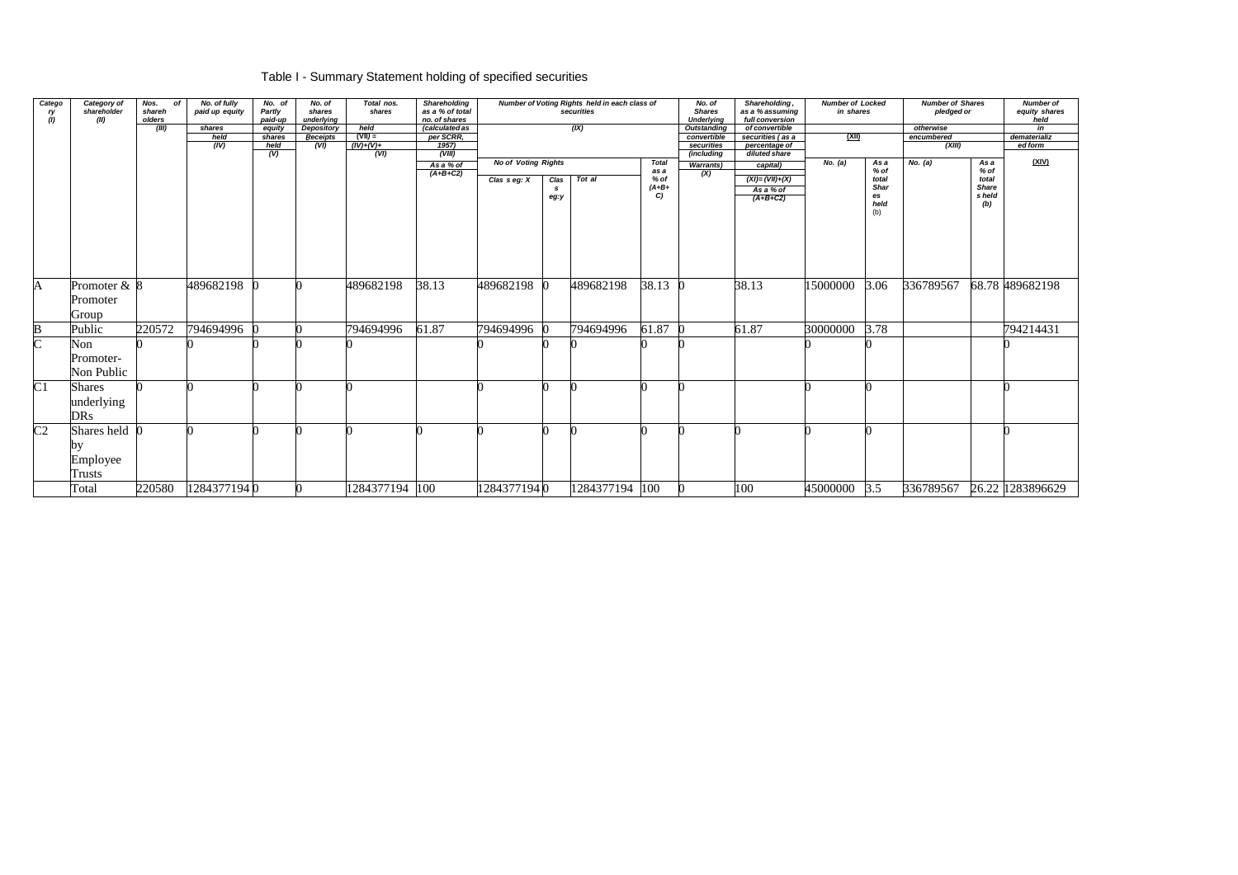## Table I - Summary Statement holding of specified securities

| Catego<br>ry<br>(1)   | Category of<br>shareholder<br>(II)               | Nos.<br>of<br>shareh<br>olders<br>(III) | No. of fully<br>paid up equity<br>shares<br>held | No. of<br>Partly<br>paid-up<br>equity<br>shares | No. of<br>shares<br>underlying<br>Depository<br><b>Receipts</b> | Total nos.<br>shares<br>held<br>$(VII) =$ | Shareholding<br>as a % of total<br>no. of shares<br>(calculated as<br>per SCRR, |                            |                   | Number of Voting Rights held in each class of<br>securities<br>(X) |                       | No. of<br><b>Shares</b><br><b>Underlying</b><br><b>Outstanding</b><br>convertible | Shareholding,<br>as a % assuming<br>full conversion<br>of convertible<br>securities (as a | <b>Number of Locked</b><br>in shares<br><u>(XII)</u> |                                    | <b>Number of Shares</b><br>pledged or<br>otherwise<br>encumbered |                                        | <b>Number of</b><br>equity shares<br>held<br>in<br>dematerializ |
|-----------------------|--------------------------------------------------|-----------------------------------------|--------------------------------------------------|-------------------------------------------------|-----------------------------------------------------------------|-------------------------------------------|---------------------------------------------------------------------------------|----------------------------|-------------------|--------------------------------------------------------------------|-----------------------|-----------------------------------------------------------------------------------|-------------------------------------------------------------------------------------------|------------------------------------------------------|------------------------------------|------------------------------------------------------------------|----------------------------------------|-----------------------------------------------------------------|
|                       |                                                  |                                         | $\sqrt{(IV)}$                                    | held<br>$\overline{v}$                          | (VI)                                                            | $(IV)+(V)+$<br>(VI)                       | 1957)<br>(VIII)                                                                 |                            |                   |                                                                    |                       | securities<br>(including                                                          | percentage of<br>diluted share                                                            |                                                      |                                    | (XIII)                                                           |                                        | ed form                                                         |
|                       |                                                  |                                         |                                                  |                                                 |                                                                 |                                           | As a % of<br>$(A+B+C2)$                                                         | <b>No of Voting Rights</b> |                   |                                                                    | <b>Total</b><br>as a  | <b>Warrants</b> )<br>(X)                                                          | capital)                                                                                  | No. (a)                                              | As a<br>$%$ of                     | No. (a)                                                          | As a<br>% of                           | (XIV)                                                           |
|                       |                                                  |                                         |                                                  |                                                 |                                                                 |                                           |                                                                                 | Clas $s$ eg: $X$           | Clas<br>s<br>eg:y | Tot al                                                             | % of<br>$(A+B+$<br>C) |                                                                                   | $(XI) = (VII)+(X)$<br>As a % of<br>$(A+B+C2)$                                             |                                                      | total<br>Shar<br>es<br>held<br>(b) |                                                                  | total<br><b>Share</b><br>s held<br>(b) |                                                                 |
| A                     | Promoter $& 8$<br>Promoter<br>Group              |                                         | 489682198                                        |                                                 |                                                                 | 489682198                                 | 38.13                                                                           | 489682198                  |                   | 489682198                                                          | 38.13                 |                                                                                   | 38.13                                                                                     | 15000000                                             | 3.06                               | 336789567                                                        |                                        | 68.78 489682198                                                 |
| $\bf B$               | Public                                           | 220572                                  | 794694996                                        |                                                 |                                                                 | 794694996                                 | 61.87                                                                           | 794694996                  |                   | 794694996                                                          | 61.87                 |                                                                                   | 61.87                                                                                     | 30000000                                             | 3.78                               |                                                                  |                                        | 794214431                                                       |
| $\overline{\text{C}}$ | Non<br>Promoter-<br>Non Public                   |                                         |                                                  |                                                 |                                                                 |                                           |                                                                                 |                            |                   |                                                                    |                       |                                                                                   |                                                                                           |                                                      |                                    |                                                                  |                                        |                                                                 |
| $\overline{C1}$       | <b>Shares</b><br>underlying<br><b>DRs</b>        |                                         |                                                  |                                                 |                                                                 |                                           |                                                                                 |                            |                   |                                                                    |                       |                                                                                   |                                                                                           |                                                      |                                    |                                                                  |                                        |                                                                 |
| C <sub>2</sub>        | Shares held 0<br>by<br>Employee<br><b>Trusts</b> |                                         |                                                  |                                                 |                                                                 |                                           |                                                                                 |                            |                   |                                                                    |                       |                                                                                   |                                                                                           |                                                      |                                    |                                                                  |                                        |                                                                 |
|                       | Total                                            | 220580                                  | 12843771940                                      |                                                 |                                                                 | 1284377194 100                            |                                                                                 | 12843771940                |                   | 1284377194 100                                                     |                       |                                                                                   | 100                                                                                       | 45000000 3.5                                         |                                    | 336789567                                                        |                                        | 26.22 1283896629                                                |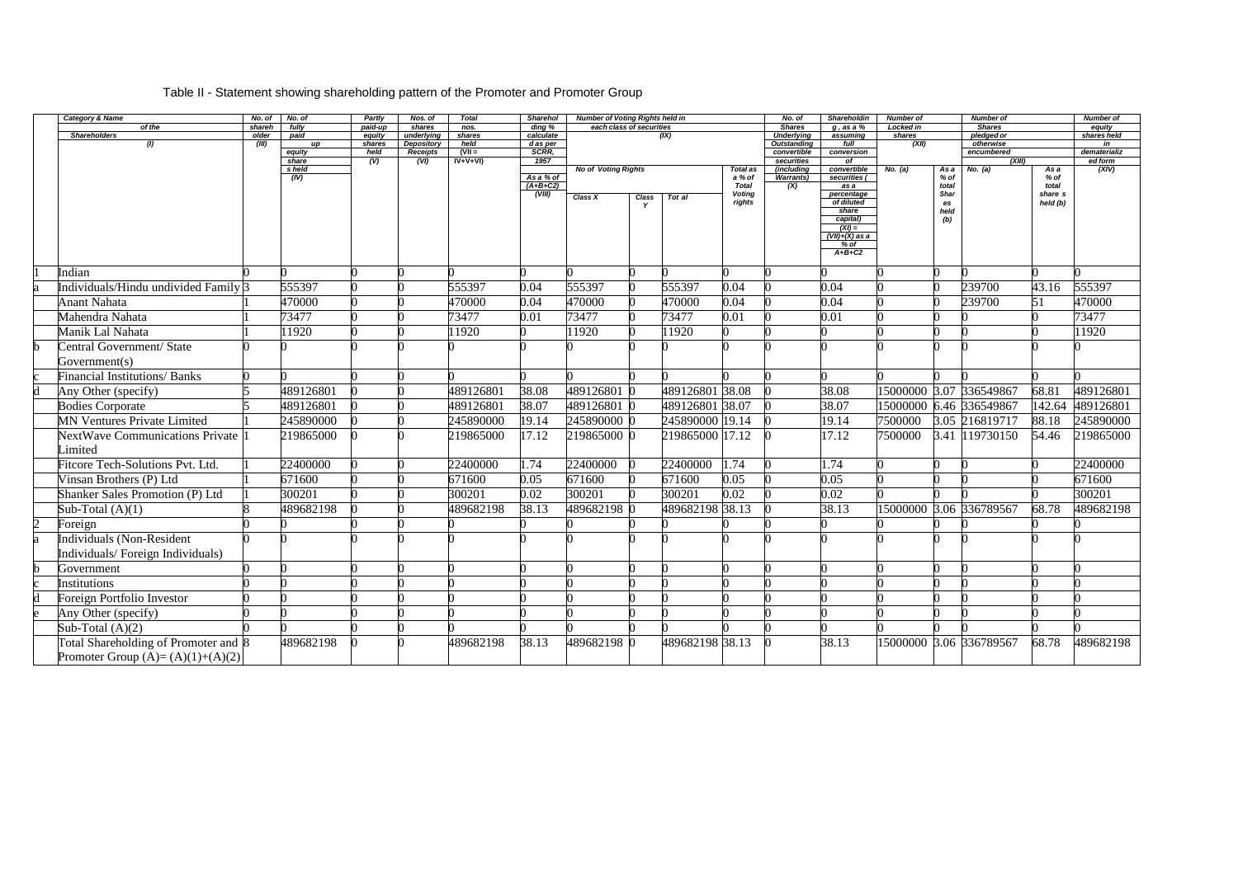# Table II - Statement showing shareholding pattern of the Promoter and Promoter Group

|                | <b>Category &amp; Name</b>                        | No. of          | No. of          | Partly            | Nos. of              | <b>Total</b>   | <b>Sharehol</b>                  | <b>Number of Voting Rights held in</b> |       |                 |                         | No. of                             | <b>Shareholdin</b>         | <b>Number of</b>    |            | <b>Number of</b>            |                     | Number of             |
|----------------|---------------------------------------------------|-----------------|-----------------|-------------------|----------------------|----------------|----------------------------------|----------------------------------------|-------|-----------------|-------------------------|------------------------------------|----------------------------|---------------------|------------|-----------------------------|---------------------|-----------------------|
|                | of the<br><b>Shareholders</b>                     | shareh<br>older | fully<br>paid   | paid-up<br>equity | shares<br>underlying | nos.<br>shares | $\overline{ding}$ %<br>calculate | each class of securities               |       | (IX)            |                         | <b>Shares</b><br><b>Underlying</b> | $g$ , as a $%$<br>assuming | Locked in<br>shares |            | <b>Shares</b><br>pledged or |                     | equity<br>shares held |
|                | (1)                                               | (III)           | up              | shares            | Depository           | held           | d as per                         |                                        |       |                 |                         | Outstanding                        | full                       | (XII)               |            | otherwise                   |                     | in                    |
|                |                                                   |                 | equity          | held              | <b>Receipts</b>      | $(VII =$       | SCRR,                            |                                        |       |                 |                         | convertible                        | conversion                 |                     |            | encumbered                  |                     | dematerializ          |
|                |                                                   |                 | share<br>s held | (V)               | (VI)                 | $IV+V+VI)$     | 1957                             | <b>No of Voting Rights</b>             |       |                 | Total as                | securities<br>(including           | of<br>convertible          | No. (a)             | As a       | (XIII)<br>No. (a)           | As a                | ed form<br>(XIV)      |
|                |                                                   |                 | (IV)            |                   |                      |                | As a % of                        |                                        |       |                 | a % of                  | <b>Warrants)</b>                   | securities (               |                     | % of       |                             | $%$ of              |                       |
|                |                                                   |                 |                 |                   |                      |                | $(A+B+C2)$                       |                                        |       |                 | <b>Total</b>            | (X)                                | as a                       |                     | total      |                             | total               |                       |
|                |                                                   |                 |                 |                   |                      |                | (VIII)                           | Class X                                | Class | Tot al          | <b>Voting</b><br>rights |                                    | percentage<br>of diluted   |                     | Shar<br>es |                             | share s<br>held (b) |                       |
|                |                                                   |                 |                 |                   |                      |                |                                  |                                        |       |                 |                         |                                    | share                      |                     | held       |                             |                     |                       |
|                |                                                   |                 |                 |                   |                      |                |                                  |                                        |       |                 |                         |                                    | capital)<br>$(XI) =$       |                     | (b)        |                             |                     |                       |
|                |                                                   |                 |                 |                   |                      |                |                                  |                                        |       |                 |                         |                                    | $(VII)+(X)$ as a           |                     |            |                             |                     |                       |
|                |                                                   |                 |                 |                   |                      |                |                                  |                                        |       |                 |                         |                                    | % of                       |                     |            |                             |                     |                       |
|                |                                                   |                 |                 |                   |                      |                |                                  |                                        |       |                 |                         |                                    | $A+B+C2$                   |                     |            |                             |                     |                       |
|                | Indian                                            |                 |                 |                   |                      |                |                                  |                                        |       |                 |                         |                                    |                            |                     |            |                             |                     |                       |
|                | Individuals/Hindu undivided Family <sup>[3]</sup> |                 | 555397          |                   |                      | 555397         | 0.04                             | 555397                                 |       | 555397          | 0.04                    |                                    | 0.04                       |                     |            | 239700                      | 43.16               | 555397                |
|                | <b>Anant Nahata</b>                               |                 | 470000          |                   |                      | 470000         | 0.04                             | 470000                                 |       | 470000          | 0.04                    |                                    | 0.04                       |                     |            | 239700                      | 51                  | 470000                |
|                | Mahendra Nahata                                   |                 | 73477           |                   |                      | 73477          | 0.01                             | 73477                                  |       | 73477           | 0.01                    |                                    | 0.01                       |                     |            |                             |                     | 73477                 |
|                | Manik Lal Nahata                                  |                 | 1920            |                   |                      | 11920          |                                  | 11920                                  |       | 11920           |                         |                                    |                            |                     |            |                             |                     | 11920                 |
|                | Central Government/ State                         |                 |                 |                   |                      |                |                                  |                                        |       |                 |                         |                                    |                            |                     |            |                             |                     |                       |
|                | Government(s)                                     |                 |                 |                   |                      |                |                                  |                                        |       |                 |                         |                                    |                            |                     |            |                             |                     |                       |
|                | <b>Financial Institutions/ Banks</b>              |                 |                 |                   |                      |                |                                  |                                        |       |                 |                         |                                    |                            |                     |            |                             |                     |                       |
|                | Any Other (specify)                               |                 | 489126801       |                   |                      | 489126801      | 38.08                            | 489126801 0                            |       | 489126801 38.08 |                         |                                    | 38.08                      |                     |            | 15000000 3.07 336549867     | 68.81               | 489126801             |
|                | <b>Bodies Corporate</b>                           |                 | 489126801       |                   |                      | 489126801      | 38.07                            | 489126801 0                            |       | 489126801 38.07 |                         |                                    | 38.07                      |                     |            | 15000000 6.46 336549867     | 142.64              | 489126801             |
|                | <b>MN Ventures Private Limited</b>                |                 | 245890000       |                   |                      | 245890000      | 19.14                            | 245890000 0                            |       | 245890000 19.14 |                         |                                    | 19.14                      | 7500000             |            | 3.05 216819717              | 88.18               | 245890000             |
|                | <b>NextWave Communications Private</b>            |                 | 219865000       |                   |                      | 219865000      | 17.12                            | 219865000 0                            |       | 219865000 17.12 |                         |                                    | 17.12                      | 7500000             |            | 3.41 19730150               | 54.46               | 219865000             |
|                | Limited                                           |                 |                 |                   |                      |                |                                  |                                        |       |                 |                         |                                    |                            |                     |            |                             |                     |                       |
|                | <b>Fitcore Tech-Solutions Pvt. Ltd.</b>           |                 | 22400000        |                   |                      | 22400000       | 1.74                             | 22400000                               |       | 22400000        | 1.74                    |                                    | 1.74                       |                     |            |                             |                     | 22400000              |
|                | Vinsan Brothers (P) Ltd                           |                 | 671600          |                   |                      | 671600         | 0.05                             | 671600                                 |       | 671600          | 0.05                    |                                    | 0.05                       |                     |            |                             |                     | 671600                |
|                | Shanker Sales Promotion (P) Ltd                   |                 | 300201          |                   |                      | 300201         | 0.02                             | 300201                                 |       | 300201          | 0.02                    |                                    | 0.02                       |                     |            |                             |                     | 300201                |
|                | Sub-Total $(A)(1)$                                |                 | 489682198       |                   |                      | 489682198      | 38.13                            | 489682198 0                            |       | 489682198 38.13 |                         |                                    | 38.13                      |                     |            | 15000000 3.06 336789567     | 68.78               | 489682198             |
| $\overline{2}$ | Foreign                                           |                 |                 |                   |                      |                |                                  |                                        |       |                 |                         |                                    |                            |                     |            |                             |                     |                       |
|                | Individuals (Non-Resident                         |                 |                 |                   |                      |                |                                  |                                        |       |                 |                         |                                    |                            |                     |            |                             |                     |                       |
|                |                                                   |                 |                 |                   |                      |                |                                  |                                        |       |                 |                         |                                    |                            |                     |            |                             |                     |                       |
|                | Individuals/Foreign Individuals)                  |                 |                 |                   |                      |                |                                  |                                        |       |                 |                         |                                    |                            |                     |            |                             |                     |                       |
|                | Government                                        |                 |                 |                   |                      |                |                                  |                                        |       |                 |                         |                                    |                            |                     |            |                             |                     |                       |
| $\mathbf{c}$   | Institutions                                      | n               |                 |                   |                      |                |                                  |                                        |       |                 |                         |                                    |                            |                     |            |                             |                     |                       |
| d              | Foreign Portfolio Investor                        |                 |                 |                   |                      |                |                                  |                                        |       |                 |                         |                                    |                            |                     |            |                             |                     |                       |
| e              | Any Other (specify)                               |                 |                 |                   |                      |                |                                  |                                        |       |                 |                         |                                    |                            |                     |            |                             |                     |                       |
|                | Sub-Total $(A)(2)$                                |                 |                 |                   |                      |                |                                  |                                        |       |                 |                         |                                    |                            |                     |            |                             |                     |                       |
|                | Total Shareholding of Promoter and 8              |                 | 489682198       |                   |                      | 489682198      | 38.13                            | 489682198 0                            |       | 489682198 38.13 |                         |                                    | 38.13                      |                     |            | 15000000 3.06 336789567     | 68.78               | 489682198             |
|                | Promoter Group $(A)=(A)(1)+(A)(2)$                |                 |                 |                   |                      |                |                                  |                                        |       |                 |                         |                                    |                            |                     |            |                             |                     |                       |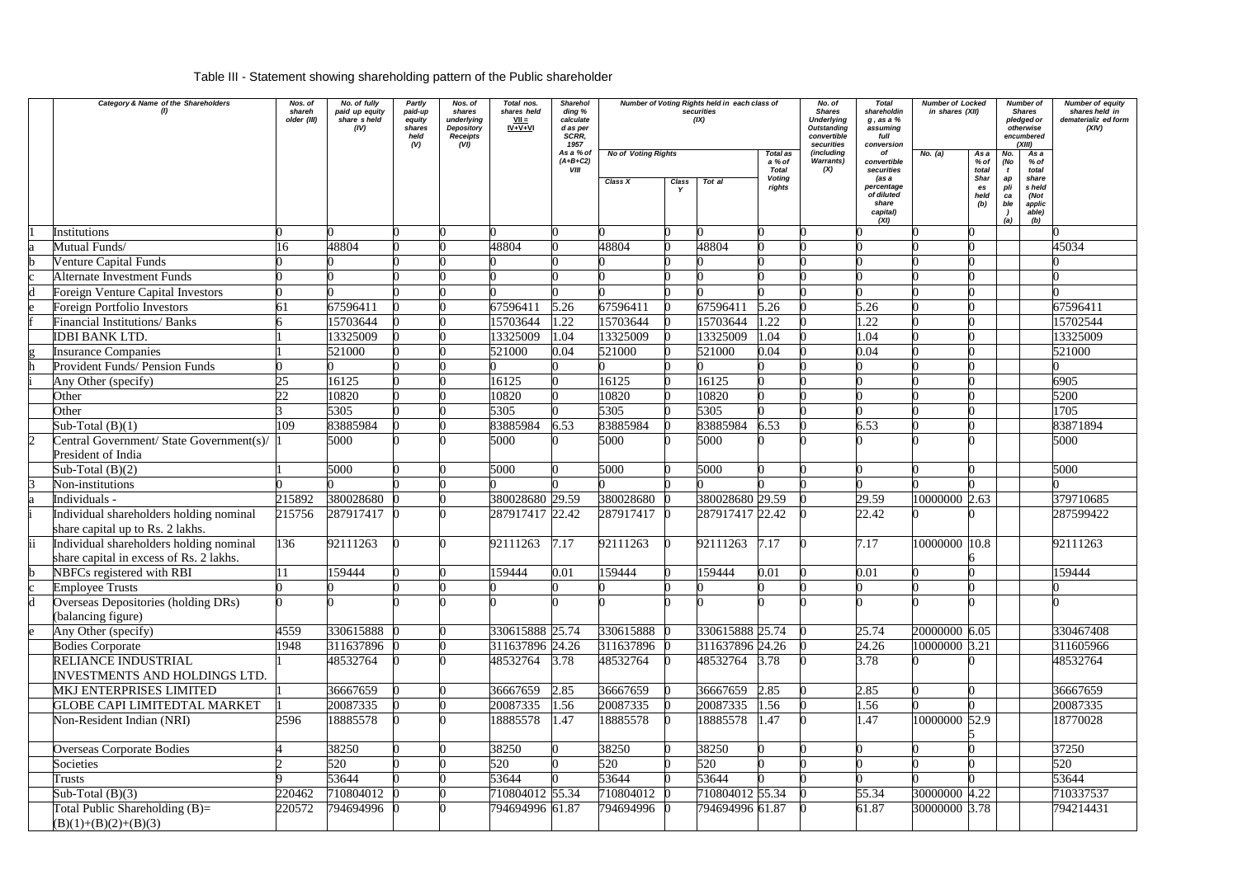## Table III - Statement showing shareholding pattern of the Public shareholder

| Category & Name of the Shareholders<br>(1)                                         | Nos. of<br>shareh<br>older (III) | No. of fully<br>paid up equity<br>share sheld<br>(IV) | Partly<br>paid-up<br>equity<br>shares<br>held<br>(V) | Nos. of<br>shares<br>underlying<br><b>Depository</b><br><b>Receipts</b><br>(VI) | Total nos.<br>shares held<br>$VII =$<br>$IV + V + VI$ | <b>Sharehol</b><br>ding %<br>calculate<br>d as per<br>SCRR.<br>1957<br>As a % of | <b>No of Voting Rights</b> |       | Number of Voting Rights held in each class of<br>securities<br>(IX) | Total as                                          | No. of<br><b>Shares</b><br><b>Underlying</b><br>Outstanding<br>convertible<br>securities<br>(including | <b>Total</b><br>shareholdin<br>$g$ , as a $%$<br>assuming<br>full<br>conversion<br>of | Number of Locked<br>in shares (XII)<br>No. (a) | As a                               | No.              | <b>Number of</b><br><b>Shares</b><br>pledged or<br>otherwise<br>encumbered<br>(XIII)<br>As a | <b>Number of equity</b><br>shares held in<br>dematerializ ed form<br>(XIV) |
|------------------------------------------------------------------------------------|----------------------------------|-------------------------------------------------------|------------------------------------------------------|---------------------------------------------------------------------------------|-------------------------------------------------------|----------------------------------------------------------------------------------|----------------------------|-------|---------------------------------------------------------------------|---------------------------------------------------|--------------------------------------------------------------------------------------------------------|---------------------------------------------------------------------------------------|------------------------------------------------|------------------------------------|------------------|----------------------------------------------------------------------------------------------|----------------------------------------------------------------------------|
|                                                                                    |                                  |                                                       |                                                      |                                                                                 |                                                       | $(A+B+C2)$<br>VIII                                                               | Class X                    | Class | Tot al                                                              | a % of<br><b>Total</b><br><b>Voting</b><br>rights | <b>Warrants)</b><br>(X)                                                                                | convertible<br>securities<br>(as a<br>percentage                                      |                                                | % of<br>total<br><b>Shar</b><br>es | (No<br>ap<br>pli | % of<br>total<br>share<br>s held                                                             |                                                                            |
|                                                                                    |                                  |                                                       |                                                      |                                                                                 |                                                       |                                                                                  |                            |       |                                                                     |                                                   |                                                                                                        | of diluted<br>share<br>capital)<br>(XI)                                               |                                                | held<br>(b)                        | ca<br>ble<br>(a) | (Not<br>applic<br>able)<br>(b)                                                               |                                                                            |
| Institutions                                                                       |                                  |                                                       |                                                      |                                                                                 |                                                       |                                                                                  |                            |       |                                                                     |                                                   |                                                                                                        |                                                                                       |                                                |                                    |                  |                                                                                              |                                                                            |
| Mutual Funds/                                                                      |                                  | 48804                                                 |                                                      |                                                                                 | 48804                                                 |                                                                                  | 48804                      |       | 48804                                                               |                                                   |                                                                                                        |                                                                                       |                                                |                                    |                  |                                                                                              | 45034                                                                      |
| Venture Capital Funds                                                              |                                  |                                                       |                                                      |                                                                                 |                                                       |                                                                                  |                            |       |                                                                     |                                                   |                                                                                                        |                                                                                       |                                                |                                    |                  |                                                                                              |                                                                            |
| <b>Alternate Investment Funds</b>                                                  |                                  |                                                       |                                                      |                                                                                 |                                                       |                                                                                  |                            |       |                                                                     |                                                   |                                                                                                        |                                                                                       |                                                |                                    |                  |                                                                                              |                                                                            |
| <b>Foreign Venture Capital Investors</b>                                           |                                  |                                                       |                                                      |                                                                                 |                                                       |                                                                                  |                            |       |                                                                     |                                                   |                                                                                                        |                                                                                       |                                                |                                    |                  |                                                                                              |                                                                            |
| <b>Foreign Portfolio Investors</b>                                                 |                                  | 67596411                                              |                                                      |                                                                                 | 67596411                                              | 5.26                                                                             | 67596411                   |       | 67596411                                                            | 5.26                                              |                                                                                                        | 5.26                                                                                  |                                                |                                    |                  |                                                                                              | 67596411                                                                   |
| <b>Financial Institutions/ Banks</b>                                               |                                  | 15703644                                              |                                                      |                                                                                 | 15703644                                              | 1.22                                                                             | 15703644                   |       | 15703644                                                            | .22                                               |                                                                                                        | 1.22                                                                                  |                                                |                                    |                  |                                                                                              | 15702544                                                                   |
| <b>IDBI BANK LTD.</b>                                                              |                                  | 13325009                                              |                                                      |                                                                                 | 13325009                                              | 1.04                                                                             | 13325009                   |       | 13325009                                                            | .04                                               |                                                                                                        | 1.04                                                                                  |                                                |                                    |                  |                                                                                              | 13325009                                                                   |
| <b>Insurance Companies</b>                                                         |                                  | 521000                                                |                                                      |                                                                                 | 521000                                                | 0.04                                                                             | 521000                     |       | 521000                                                              | 0.04                                              |                                                                                                        | 0.04                                                                                  |                                                |                                    |                  |                                                                                              | 521000                                                                     |
| Provident Funds/ Pension Funds                                                     |                                  |                                                       |                                                      |                                                                                 |                                                       |                                                                                  |                            |       |                                                                     |                                                   |                                                                                                        |                                                                                       |                                                |                                    |                  |                                                                                              |                                                                            |
| Any Other (specify)                                                                | 25<br>$\mathcal{D}$              | 16125                                                 |                                                      |                                                                                 | 16125                                                 |                                                                                  | 16125                      |       | 16125                                                               |                                                   |                                                                                                        |                                                                                       |                                                |                                    |                  |                                                                                              | 6905                                                                       |
| Other                                                                              |                                  | 10820                                                 |                                                      |                                                                                 | 10820                                                 |                                                                                  | 10820                      |       | 10820                                                               |                                                   |                                                                                                        |                                                                                       |                                                |                                    |                  |                                                                                              | 5200                                                                       |
| Other                                                                              | 109                              | 5305                                                  |                                                      |                                                                                 | 5305                                                  |                                                                                  | 5305                       |       | 5305                                                                |                                                   |                                                                                                        |                                                                                       |                                                |                                    |                  |                                                                                              | 1705                                                                       |
| Sub-Total $(B)(1)$                                                                 |                                  | 83885984<br>5000                                      |                                                      |                                                                                 | 83885984                                              | 6.53                                                                             | 83885984                   |       | 83885984                                                            | 6.53                                              |                                                                                                        | 6.53                                                                                  |                                                |                                    |                  |                                                                                              | 83871894                                                                   |
| Central Government/ State Government(s)/<br>President of India                     |                                  |                                                       |                                                      |                                                                                 | 5000                                                  |                                                                                  | 5000                       |       | 5000                                                                |                                                   |                                                                                                        |                                                                                       |                                                |                                    |                  |                                                                                              | 5000                                                                       |
| Sub-Total $(B)(2)$                                                                 |                                  | 5000                                                  |                                                      |                                                                                 | 5000                                                  |                                                                                  | 5000                       |       | 5000                                                                |                                                   |                                                                                                        |                                                                                       |                                                |                                    |                  |                                                                                              | 5000                                                                       |
| Non-institutions                                                                   |                                  |                                                       |                                                      |                                                                                 |                                                       |                                                                                  |                            |       |                                                                     |                                                   |                                                                                                        |                                                                                       |                                                |                                    |                  |                                                                                              |                                                                            |
| Individuals -                                                                      | 215892                           | 380028680                                             |                                                      |                                                                                 | 380028680 29.59                                       |                                                                                  | 380028680                  |       | 380028680 29.59                                                     |                                                   |                                                                                                        | 29.59                                                                                 | 10000000 2.63                                  |                                    |                  |                                                                                              | 379710685                                                                  |
| Individual shareholders holding nominal<br>share capital up to Rs. 2 lakhs.        | 215756                           | 287917417 0                                           |                                                      |                                                                                 | 287917417 22.42                                       |                                                                                  | 287917417 0                |       | 287917417 22.42                                                     |                                                   |                                                                                                        | 22.42                                                                                 |                                                |                                    |                  |                                                                                              | 287599422                                                                  |
| Individual shareholders holding nominal<br>share capital in excess of Rs. 2 lakhs. | 136                              | 92111263                                              |                                                      |                                                                                 | 92111263                                              | 7.17                                                                             | 92111263                   |       | 92111263                                                            | 7.17                                              |                                                                                                        | 7.17                                                                                  | 10000000                                       | 10.8                               |                  |                                                                                              | 92111263                                                                   |
| NBFCs registered with RBI                                                          |                                  | 159444                                                |                                                      |                                                                                 | 159444                                                | 0.01                                                                             | 159444                     |       | 159444                                                              | 0.01                                              |                                                                                                        | 0.01                                                                                  |                                                |                                    |                  |                                                                                              | 159444                                                                     |
| <b>Employee Trusts</b>                                                             |                                  |                                                       |                                                      |                                                                                 |                                                       |                                                                                  |                            |       |                                                                     |                                                   |                                                                                                        |                                                                                       |                                                |                                    |                  |                                                                                              |                                                                            |
| Overseas Depositories (holding DRs)<br>(balancing figure)                          |                                  |                                                       |                                                      |                                                                                 |                                                       |                                                                                  |                            |       |                                                                     |                                                   |                                                                                                        |                                                                                       |                                                |                                    |                  |                                                                                              |                                                                            |
| Any Other (specify)                                                                | 4559                             | 330615888                                             |                                                      |                                                                                 | 330615888 25.74                                       |                                                                                  | 330615888                  |       | 330615888 25.74                                                     |                                                   |                                                                                                        | 25.74                                                                                 | 20000000 6.05                                  |                                    |                  |                                                                                              | 330467408                                                                  |
| <b>Bodies Corporate</b>                                                            | 1948                             | 311637896                                             |                                                      |                                                                                 | 311637896 24.26                                       |                                                                                  | 311637896 0                |       | 311637896 24.26                                                     |                                                   |                                                                                                        | 24.26                                                                                 | 10000000 3.21                                  |                                    |                  |                                                                                              | 311605966                                                                  |
| RELIANCE INDUSTRIAL<br><b>INVESTMENTS AND HOLDINGS LTD.</b>                        |                                  | 48532764                                              |                                                      |                                                                                 | 48532764 3.78                                         |                                                                                  | 48532764                   |       | 48532764 3.78                                                       |                                                   |                                                                                                        | 3.78                                                                                  |                                                |                                    |                  |                                                                                              | 48532764                                                                   |
| <b>MKJ ENTERPRISES LIMITED</b>                                                     |                                  | 36667659                                              |                                                      |                                                                                 | 36667659                                              | 2.85                                                                             | 36667659                   |       | 36667659                                                            | 2.85                                              |                                                                                                        | 2.85                                                                                  |                                                |                                    |                  |                                                                                              | 36667659                                                                   |
| <b>GLOBE CAPI LIMITEDTAL MARKET</b>                                                |                                  | 20087335                                              |                                                      |                                                                                 | 20087335                                              | 1.56                                                                             | 20087335                   |       | 20087335                                                            | .56                                               |                                                                                                        | 1.56                                                                                  |                                                |                                    |                  |                                                                                              | 20087335                                                                   |
| Non-Resident Indian (NRI)                                                          | 2596                             | 18885578                                              |                                                      |                                                                                 | 18885578                                              | 1.47                                                                             | 18885578                   |       | 18885578                                                            | .47                                               |                                                                                                        | 1.47                                                                                  | 10000000 52.9                                  |                                    |                  |                                                                                              | 18770028                                                                   |
| <b>Overseas Corporate Bodies</b>                                                   |                                  | 38250                                                 |                                                      |                                                                                 | 38250                                                 |                                                                                  | 38250                      |       | 38250                                                               |                                                   |                                                                                                        |                                                                                       |                                                |                                    |                  |                                                                                              | 37250                                                                      |
| Societies                                                                          |                                  | 520                                                   |                                                      |                                                                                 | 520                                                   |                                                                                  | 520                        |       | 520                                                                 |                                                   |                                                                                                        |                                                                                       |                                                |                                    |                  |                                                                                              | 520                                                                        |
| Trusts                                                                             |                                  | 53644                                                 |                                                      |                                                                                 | 53644                                                 |                                                                                  | 53644                      |       | 53644                                                               |                                                   |                                                                                                        |                                                                                       |                                                |                                    |                  |                                                                                              | 53644                                                                      |
| Sub-Total $(B)(3)$                                                                 | 220462                           | 710804012                                             |                                                      |                                                                                 | 710804012 55.34                                       |                                                                                  | 710804012                  |       | 710804012 55.34                                                     |                                                   |                                                                                                        | 55.34                                                                                 | 30000000 4.22                                  |                                    |                  |                                                                                              | 710337537                                                                  |
| Total Public Shareholding (B)=                                                     | 220572                           | 794694996 0                                           |                                                      |                                                                                 | 794694996 61.87                                       |                                                                                  | 794694996                  |       | 794694996 61.87                                                     |                                                   |                                                                                                        | 61.87                                                                                 | 30000000 3.78                                  |                                    |                  |                                                                                              | 794214431                                                                  |
| $(B)(1)+(B)(2)+(B)(3)$                                                             |                                  |                                                       |                                                      |                                                                                 |                                                       |                                                                                  |                            |       |                                                                     |                                                   |                                                                                                        |                                                                                       |                                                |                                    |                  |                                                                                              |                                                                            |